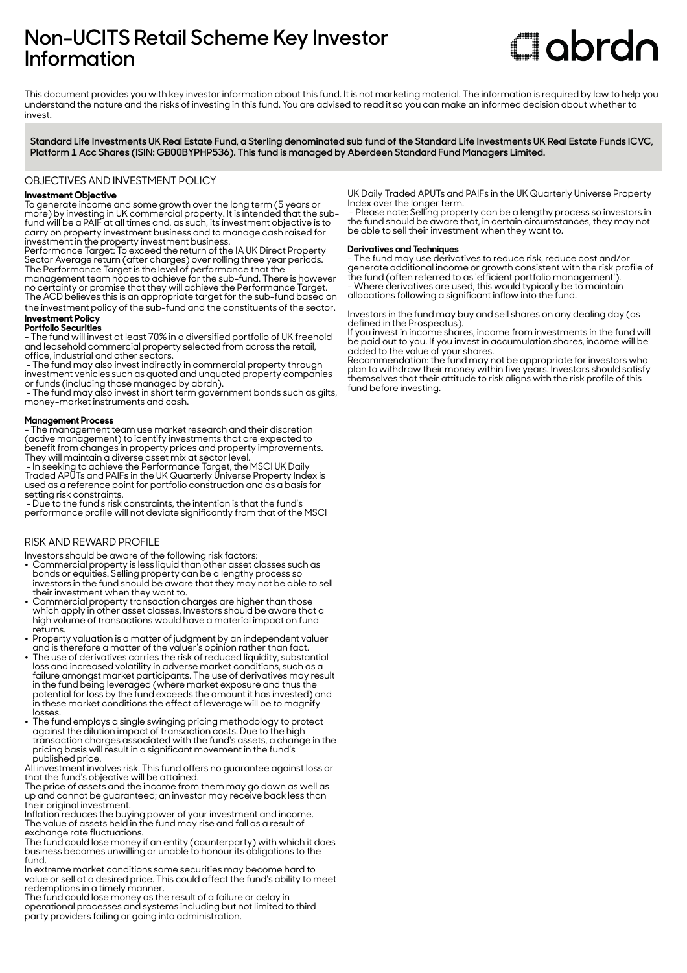# **Non-UCITS Retail Scheme Key Investor Information**

# **Clobrdn**

This document provides you with key investor information about this fund. It is not marketing material. The information is required by law to help you understand the nature and the risks of investing in this fund. You are advised to read it so you can make an informed decision about whether to invest

**Standard Life Investments UK Real Estate Fund, a Sterling denominated sub fund of the Standard Life Investments UK Real Estate Funds ICVC, Platform 1 Acc Shares (ISIN: GB00BYPHP536). This fund is managed by Aberdeen Standard Fund Managers Limited.**

OBJECTIVES AND INVESTMENT POLICY

# **Investment Objective**

To generate income and some growth over the long term (5 years or more) by investing in UK commercial property. It is intended that the subfund will be a PAIF at all times and, as such, its investment objective is to carry on property investment business and to manage cash raised for investment in the property investment business.

Performance Target: To exceed the return of the IA UK Direct Property Sector Average return (after charges) over rolling three year periods. The Performance Target is the level of performance that the management team hopes to achieve for the sub-fund. There is however no certainty or promise that they will achieve the Performance Target.

The ACD believes this is an appropriate target for the sub-fund based on the investment policy of the sub-fund and the constituents of the sector. **Investment Policy** 

# **Portfolio Securities**

- The fund will invest at least 70% in a diversified portfolio of UK freehold and leasehold commercial property selected from across the retail, office, industrial and other sectors.

 - The fund may also invest indirectly in commercial property through investment vehicles such as quoted and unquoted property companies or funds (including those managed by abrdn).

 - The fund may also invest in short term government bonds such as gilts, money-market instruments and cash.

### **Management Process**

- The management team use market research and their discretion (active management) to identify investments that are expected to benefit from changes in property prices and property improvements. They will maintain a diverse asset mix at sector level.

 - In seeking to achieve the Performance Target, the MSCI UK Daily Traded APUTs and PAIFs in the UK Quarterly Universe Property Index is used as a reference point for portfolio construction and as a basis for setting risk constraints.

 - Due to the fund's risk constraints, the intention is that the fund's performance profile will not deviate significantly from that of the MSCI

# RISK AND REWARD PROFILE

- Investors should be aware of the following risk factors: 2 Commercial property is less liquid than other asset classes such as bonds or equities. Selling property can be a lengthy process so investors in the fund should be aware that they may not be able to sell their investment when they want to.
- Commercial property transaction charges are higher than those which apply in other asset classes. Investors should be aware that a high volume of transactions would have a material impact on fund returns.
- Property valuation is a matter of judgment by an independent valuer and is therefore a matter of the valuer's opinion rather than fact.
- The use of derivatives carries the risk of reduced liquidity, substantial loss and increased volatility in adverse market conditions, such as a failure amongst market participants. The use of derivatives may result in the fund being leveraged (where market exposure and thus the potential for loss by the fund exceeds the amount it has invested) and in these market conditions the effect of leverage will be to magnify losses.
- The fund employs a single swinging pricing methodology to protect against the dilution impact of transaction costs. Due to the high transaction charges associated with the fund's assets, a change in the pricing basis will result in a significant movement in the fund's published price.

All investment involves risk. This fund offers no guarantee against loss or that the fund's objective will be attained.

The price of assets and the income from them may go down as well as up and cannot be guaranteed; an investor may receive back less than their original investment.

Inflation reduces the buying power of your investment and income. The value of assets held in the fund may rise and fall as a result of exchange rate fluctuations.

The fund could lose money if an entity (counterparty) with which it does business becomes unwilling or unable to honour its obligations to the fund.

In extreme market conditions some securities may become hard to value or sell at a desired price. This could affect the fund's ability to meet redemptions in a timely manner.

The fund could lose money as the result of a failure or delay in operational processes and systems including but not limited to third party providers failing or going into administration.

UK Daily Traded APUTs and PAIFs in the UK Quarterly Universe Property Index over the longer term.

 - Please note: Selling property can be a lengthy process so investors in the fund should be aware that, in certain circumstances, they may not be able to sell their investment when they want to.

# **Derivatives and Techniques**

- The fund may use derivatives to reduce risk, reduce cost and/or generate additional income or growth consistent with the risk profile of the fund (often referred to as 'efficient portfolio management'). - Where derivatives are used, this would typically be to maintain allocations following a significant inflow into the fund.

Investors in the fund may buy and sell shares on any dealing day (as defined in the Prospectus).

If you invest in income shares, income from investments in the fund will be paid out to you. If you invest in accumulation shares, income will be added to the value of your shares.

Recommendation: the fund may not be appropriate for investors who plan to withdraw their money within five years. Investors should satisfy themselves that their attitude to risk aligns with the risk profile of this fund before investing.